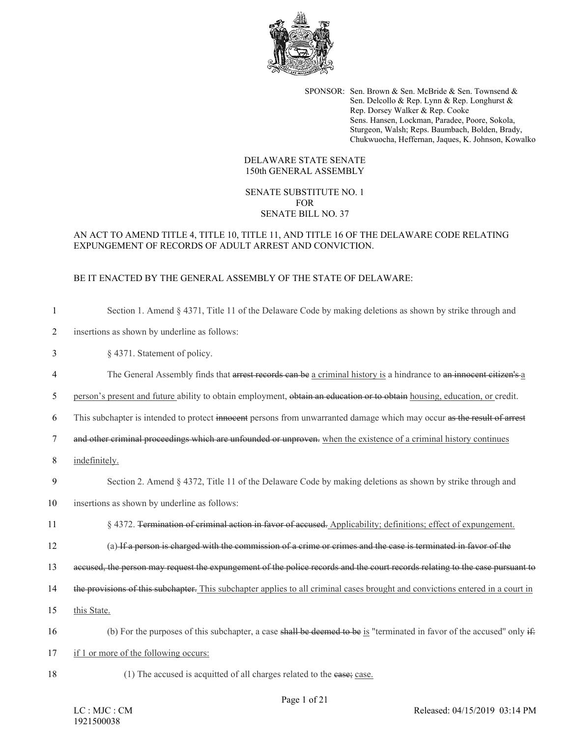

SPONSOR: Sen. Brown & Sen. McBride & Sen. Townsend & Sen. Delcollo & Rep. Lynn & Rep. Longhurst & Rep. Dorsey Walker & Rep. Cooke Sens. Hansen, Lockman, Paradee, Poore, Sokola, Sturgeon, Walsh; Reps. Baumbach, Bolden, Brady, Chukwuocha, Heffernan, Jaques, K. Johnson, Kowalko

#### DELAWARE STATE SENATE 150th GENERAL ASSEMBLY

## SENATE SUBSTITUTE NO. 1 FOR SENATE BILL NO. 37

# AN ACT TO AMEND TITLE 4, TITLE 10, TITLE 11, AND TITLE 16 OF THE DELAWARE CODE RELATING EXPUNGEMENT OF RECORDS OF ADULT ARREST AND CONVICTION.

# BE IT ENACTED BY THE GENERAL ASSEMBLY OF THE STATE OF DELAWARE:

| $\mathbf{1}$   | Section 1. Amend $\S$ 4371, Title 11 of the Delaware Code by making deletions as shown by strike through and                   |
|----------------|--------------------------------------------------------------------------------------------------------------------------------|
| $\overline{2}$ | insertions as shown by underline as follows:                                                                                   |
| 3              | § 4371. Statement of policy.                                                                                                   |
| 4              | The General Assembly finds that arrest records can be a criminal history is a hindrance to an innocent citizen's a             |
| 5              | person's present and future ability to obtain employment, obtain an education or to obtain housing, education, or credit.      |
| 6              | This subchapter is intended to protect innocent persons from unwarranted damage which may occur as the result of arrest        |
| $\tau$         | and other criminal proceedings which are unfounded or unproven. when the existence of a criminal history continues             |
| 8              | indefinitely.                                                                                                                  |
| 9              | Section 2. Amend $\S$ 4372, Title 11 of the Delaware Code by making deletions as shown by strike through and                   |
| 10             | insertions as shown by underline as follows:                                                                                   |
| 11             | § 4372. Termination of criminal action in favor of accused. Applicability; definitions; effect of expungement.                 |
| 12             | (a) If a person is charged with the commission of a crime or crimes and the case is terminated in favor of the                 |
| 13             | accused, the person may request the expungement of the police records and the court records relating to the case pursuant to   |
| 14             | the provisions of this subchapter. This subchapter applies to all criminal cases brought and convictions entered in a court in |
| 15             | this State.                                                                                                                    |
| 16             | (b) For the purposes of this subchapter, a case shall be deemed to be is "terminated in favor of the accused" only if-         |
| 17             | if 1 or more of the following occurs:                                                                                          |
| 18             | (1) The accused is acquitted of all charges related to the ease; case.                                                         |

Page 1 of 21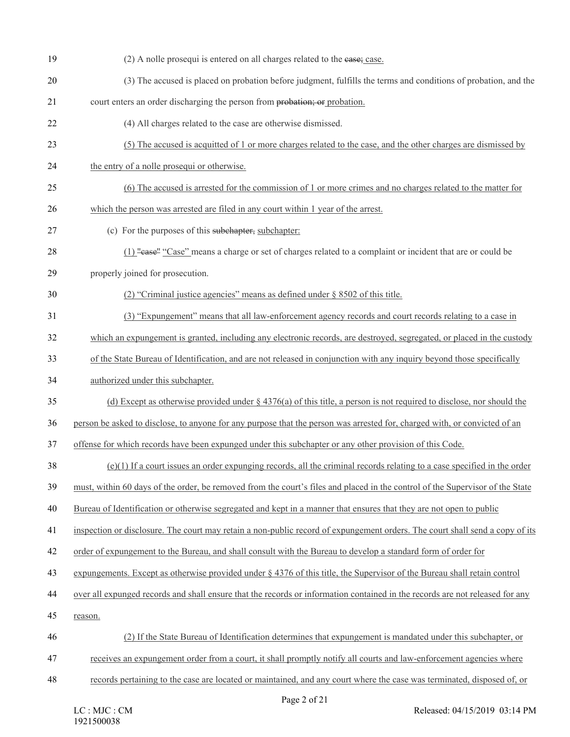| 19 | (2) A nolle prosequi is entered on all charges related to the ease; case.                                                     |
|----|-------------------------------------------------------------------------------------------------------------------------------|
| 20 | (3) The accused is placed on probation before judgment, fulfills the terms and conditions of probation, and the               |
| 21 | court enters an order discharging the person from probation; or probation.                                                    |
| 22 | (4) All charges related to the case are otherwise dismissed.                                                                  |
| 23 | (5) The accused is acquitted of 1 or more charges related to the case, and the other charges are dismissed by                 |
| 24 | the entry of a nolle prosequi or otherwise.                                                                                   |
| 25 | (6) The accused is arrested for the commission of 1 or more crimes and no charges related to the matter for                   |
| 26 | which the person was arrested are filed in any court within 1 year of the arrest.                                             |
| 27 | (c) For the purposes of this subchapter, subchapter:                                                                          |
| 28 | (1) "ease" "Case" means a charge or set of charges related to a complaint or incident that are or could be                    |
| 29 | properly joined for prosecution.                                                                                              |
| 30 | (2) "Criminal justice agencies" means as defined under $\S$ 8502 of this title.                                               |
| 31 | (3) "Expungement" means that all law-enforcement agency records and court records relating to a case in                       |
| 32 | which an expungement is granted, including any electronic records, are destroyed, segregated, or placed in the custody        |
| 33 | of the State Bureau of Identification, and are not released in conjunction with any inquiry beyond those specifically         |
| 34 | authorized under this subchapter.                                                                                             |
| 35 | (d) Except as otherwise provided under $\S$ 4376(a) of this title, a person is not required to disclose, nor should the       |
| 36 | person be asked to disclose, to anyone for any purpose that the person was arrested for, charged with, or convicted of an     |
| 37 | offense for which records have been expunged under this subchapter or any other provision of this Code.                       |
| 38 | $(e)(1)$ If a court issues an order expunging records, all the criminal records relating to a case specified in the order     |
| 39 | must, within 60 days of the order, be removed from the court's files and placed in the control of the Supervisor of the State |
| 40 | Bureau of Identification or otherwise segregated and kept in a manner that ensures that they are not open to public           |
| 41 | inspection or disclosure. The court may retain a non-public record of expungement orders. The court shall send a copy of its  |
| 42 | order of expungement to the Bureau, and shall consult with the Bureau to develop a standard form of order for                 |
| 43 | expungements. Except as otherwise provided under § 4376 of this title, the Supervisor of the Bureau shall retain control      |
| 44 | over all expunged records and shall ensure that the records or information contained in the records are not released for any  |
| 45 | reason.                                                                                                                       |
| 46 | (2) If the State Bureau of Identification determines that expundement is mandated under this subchapter, or                   |
| 47 | receives an expungement order from a court, it shall promptly notify all courts and law-enforcement agencies where            |
| 48 | records pertaining to the case are located or maintained, and any court where the case was terminated, disposed of, or        |
|    |                                                                                                                               |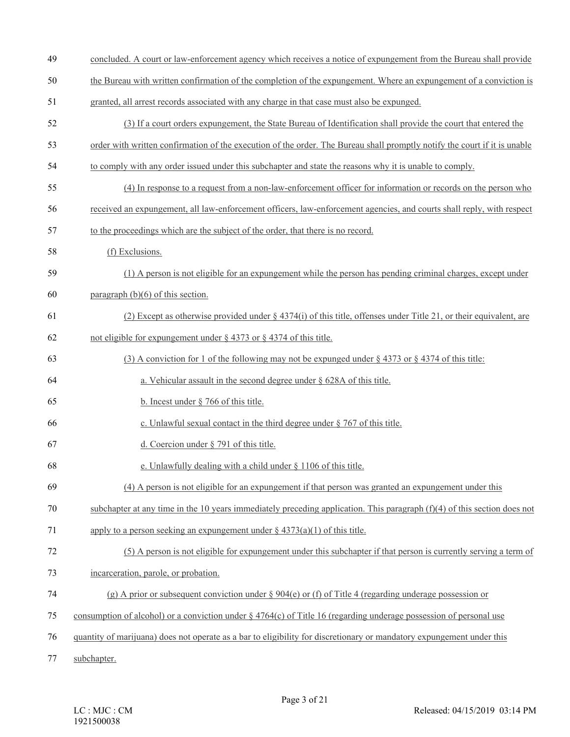- concluded. A court or law-enforcement agency which receives a notice of expungement from the Bureau shall provide
- the Bureau with written confirmation of the completion of the expungement. Where an expungement of a conviction is
- granted, all arrest records associated with any charge in that case must also be expunged.
- (3) If a court orders expungement, the State Bureau of Identification shall provide the court that entered the
- order with written confirmation of the execution of the order. The Bureau shall promptly notify the court if it is unable
- to comply with any order issued under this subchapter and state the reasons why it is unable to comply.
- (4) In response to a request from a non-law-enforcement officer for information or records on the person who
- received an expungement, all law-enforcement officers, law-enforcement agencies, and courts shall reply, with respect
- to the proceedings which are the subject of the order, that there is no record.
- (f) Exclusions.
- (1) A person is not eligible for an expungement while the person has pending criminal charges, except under
- paragraph (b)(6) of this section.
- 61 (2) Except as otherwise provided under  $\S 4374(i)$  of this title, offenses under Title 21, or their equivalent, are
- not eligible for expungement under § 4373 or § 4374 of this title.
- 63 (3) A conviction for 1 of the following may not be expunged under  $\S 4373$  or  $\S 4374$  of this title:
- a. Vehicular assault in the second degree under § 628A of this title.
- b. Incest under § 766 of this title.
- 66 c. Unlawful sexual contact in the third degree under  $\S$  767 of this title.
- d. Coercion under § 791 of this title.
- e. Unlawfully dealing with a child under § 1106 of this title.
- (4) A person is not eligible for an expungement if that person was granted an expungement under this
- subchapter at any time in the 10 years immediately preceding application. This paragraph (f)(4) of this section does not
- apply to a person seeking an expungement under § 4373(a)(1) of this title.

### (5) A person is not eligible for expungement under this subchapter if that person is currently serving a term of

- incarceration, parole, or probation.
- 74 (g) A prior or subsequent conviction under  $\S 904(e)$  or (f) of Title 4 (regarding underage possession or
- consumption of alcohol) or a conviction under § 4764(c) of Title 16 (regarding underage possession of personal use
- quantity of marijuana) does not operate as a bar to eligibility for discretionary or mandatory expungement under this
- subchapter.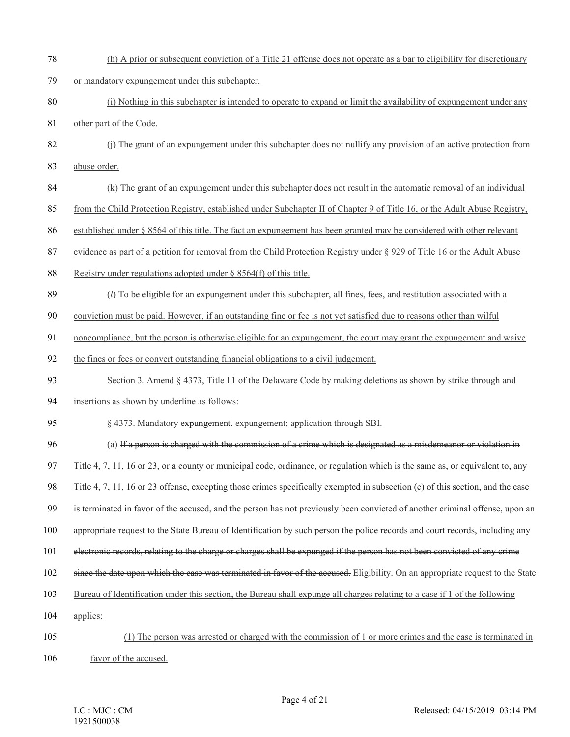(h) A prior or subsequent conviction of a Title 21 offense does not operate as a bar to eligibility for discretionary or mandatory expungement under this subchapter. (i) Nothing in this subchapter is intended to operate to expand or limit the availability of expungement under any other part of the Code. (j) The grant of an expungement under this subchapter does not nullify any provision of an active protection from abuse order. (k) The grant of an expungement under this subchapter does not result in the automatic removal of an individual from the Child Protection Registry, established under Subchapter II of Chapter 9 of Title 16, or the Adult Abuse Registry, established under § 8564 of this title. The fact an expungement has been granted may be considered with other relevant evidence as part of a petition for removal from the Child Protection Registry under § 929 of Title 16 or the Adult Abuse Registry under regulations adopted under § 8564(f) of this title. (*l*) To be eligible for an expungement under this subchapter, all fines, fees, and restitution associated with a conviction must be paid. However, if an outstanding fine or fee is not yet satisfied due to reasons other than wilful noncompliance, but the person is otherwise eligible for an expungement, the court may grant the expungement and waive the fines or fees or convert outstanding financial obligations to a civil judgement. Section 3. Amend § 4373, Title 11 of the Delaware Code by making deletions as shown by strike through and insertions as shown by underline as follows: § 4373. Mandatory expungement. expungement; application through SBI. (a) If a person is charged with the commission of a crime which is designated as a misdemeanor or violation in 97 Title 4, 7, 11, 16 or 23, or a county or municipal code, ordinance, or regulation which is the same as, or equivalent to, any Title 4, 7, 11, 16 or 23 offense, excepting those crimes specifically exempted in subsection (c) of this section, and the case is terminated in favor of the accused, and the person has not previously been convicted of another criminal offense, upon an appropriate request to the State Bureau of Identification by such person the police records and court records, including any electronic records, relating to the charge or charges shall be expunged if the person has not been convicted of any crime 102 since the date upon which the case was terminated in favor of the accused. Eligibility. On an appropriate request to the State Bureau of Identification under this section, the Bureau shall expunge all charges relating to a case if 1 of the following applies: (1) The person was arrested or charged with the commission of 1 or more crimes and the case is terminated in favor of the accused.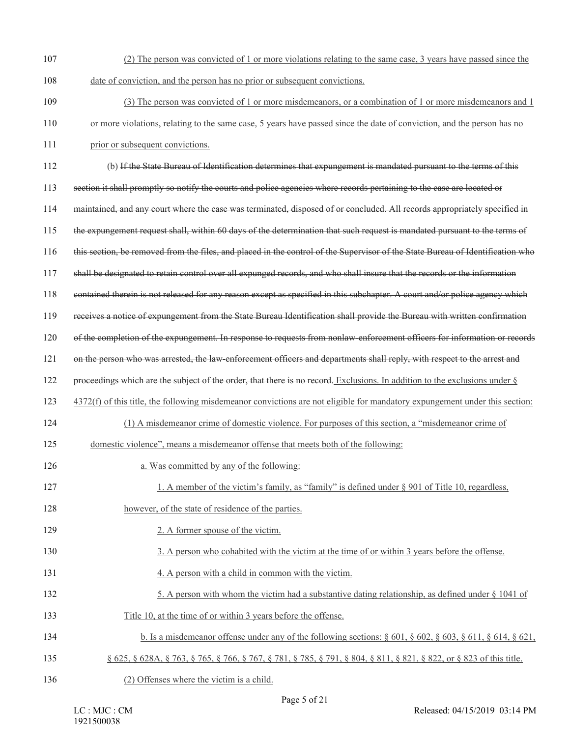(2) The person was convicted of 1 or more violations relating to the same case, 3 years have passed since the date of conviction, and the person has no prior or subsequent convictions. (3) The person was convicted of 1 or more misdemeanors, or a combination of 1 or more misdemeanors and 1 or more violations, relating to the same case, 5 years have passed since the date of conviction, and the person has no 111 prior or subsequent convictions. (b) If the State Bureau of Identification determines that expungement is mandated pursuant to the terms of this section it shall promptly so notify the courts and police agencies where records pertaining to the case are located or maintained, and any court where the case was terminated, disposed of or concluded. All records appropriately specified in the expungement request shall, within 60 days of the determination that such request is mandated pursuant to the terms of this section, be removed from the files, and placed in the control of the Supervisor of the State Bureau of Identification who shall be designated to retain control over all expunged records, and who shall insure that the records or the information contained therein is not released for any reason except as specified in this subchapter. A court and/or police agency which receives a notice of expungement from the State Bureau Identification shall provide the Bureau with written confirmation of the completion of the expungement. In response to requests from nonlaw-enforcement officers for information or records on the person who was arrested, the law-enforcement officers and departments shall reply, with respect to the arrest and proceedings which are the subject of the order, that there is no record. Exclusions. In addition to the exclusions under § 4372(f) of this title, the following misdemeanor convictions are not eligible for mandatory expungement under this section: (1) A misdemeanor crime of domestic violence. For purposes of this section, a "misdemeanor crime of domestic violence", means a misdemeanor offense that meets both of the following: **a.** Was committed by any of the following: 127 1. A member of the victim's family, as "family" is defined under § 901 of Title 10, regardless, 128 however, of the state of residence of the parties. 2. A former spouse of the victim. 130 3. A person who cohabited with the victim at the time of or within 3 years before the offense. 4. A person with a child in common with the victim. 132 5. A person with whom the victim had a substantive dating relationship, as defined under § 1041 of Title 10, at the time of or within 3 years before the offense. b. Is a misdemeanor offense under any of the following sections: § 601, § 602, § 603, § 611, § 614, § 621, § 625, § 628A, § 763, § 765, § 766, § 767, § 781, § 785, § 791, § 804, § 811, § 821, § 822, or § 823 of this title. (2) Offenses where the victim is a child.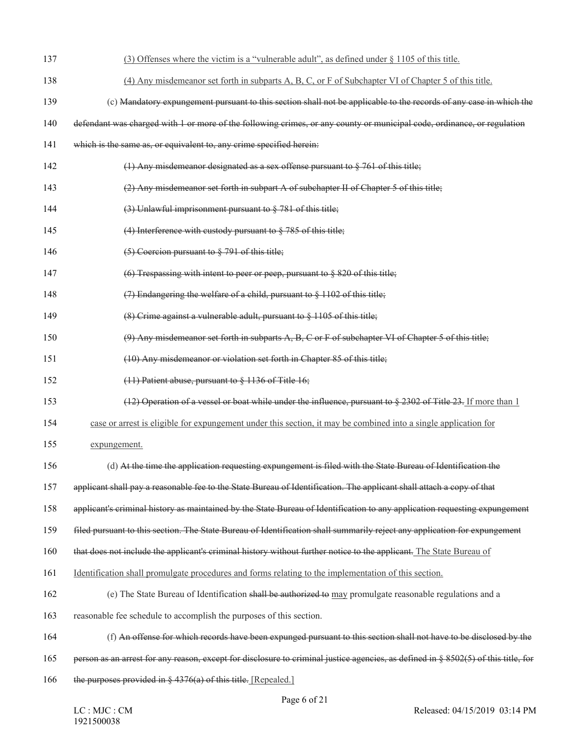| 137 | (3) Offenses where the victim is a "vulnerable adult", as defined under § 1105 of this title.                                      |
|-----|------------------------------------------------------------------------------------------------------------------------------------|
| 138 | (4) Any misdemeanor set forth in subparts A, B, C, or F of Subchapter VI of Chapter 5 of this title.                               |
| 139 | (c) Mandatory expungement pursuant to this section shall not be applicable to the records of any case in which the                 |
| 140 | defendant was charged with 1 or more of the following crimes, or any county or municipal code, ordinance, or regulation            |
| 141 | which is the same as, or equivalent to, any crime specified herein:                                                                |
| 142 | (1) Any misdemeanor designated as a sex offense pursuant to $\S$ 761 of this title;                                                |
| 143 | (2) Any misdemeanor set forth in subpart A of subchapter II of Chapter 5 of this title;                                            |
| 144 | $(3)$ Unlawful imprisonment pursuant to $\S$ 781 of this title;                                                                    |
| 145 | (4) Interference with custody pursuant to $\S$ 785 of this title;                                                                  |
| 146 | $(5)$ Coercion pursuant to $\S$ 791 of this title;                                                                                 |
| 147 | (6) Trespassing with intent to peer or peep, pursuant to $\S$ 820 of this title;                                                   |
| 148 | $(7)$ Endangering the welfare of a child, pursuant to § 1102 of this title;                                                        |
| 149 | $(8)$ Crime against a vulnerable adult, pursuant to $\S$ 1105 of this title;                                                       |
| 150 | $(9)$ Any misdemeanor set forth in subparts A, B, C or F of subchapter VI of Chapter 5 of this title;                              |
| 151 | (10) Any misdemeanor or violation set forth in Chapter 85 of this title;                                                           |
| 152 | $(11)$ Patient abuse, pursuant to $\S$ 1136 of Title 16;                                                                           |
| 153 | $(12)$ Operation of a vessel or boat while under the influence, pursuant to § 2302 of Title 23. If more than 1                     |
| 154 | case or arrest is eligible for expungement under this section, it may be combined into a single application for                    |
| 155 | expungement.                                                                                                                       |
| 156 | (d) At the time the application requesting expungement is filed with the State Bureau of Identification the                        |
| 157 | applicant shall pay a reasonable fee to the State Bureau of Identification. The applicant shall attach a copy of that              |
| 158 | applicant's criminal history as maintained by the State Bureau of Identification to any application requesting expungement         |
| 159 | filed pursuant to this section. The State Bureau of Identification shall summarily reject any application for expungement          |
| 160 | that does not include the applicant's criminal history without further notice to the applicant. The State Bureau of                |
| 161 | Identification shall promulgate procedures and forms relating to the implementation of this section.                               |
| 162 | (e) The State Bureau of Identification shall be authorized to may promulgate reasonable regulations and a                          |
| 163 | reasonable fee schedule to accomplish the purposes of this section.                                                                |
| 164 | (f) An offense for which records have been expunged pursuant to this section shall not have to be disclosed by the                 |
| 165 | person as an arrest for any reason, except for disclosure to criminal justice agencies, as defined in § 8502(5) of this title, for |
| 166 | the purposes provided in $\S$ 4376(a) of this title. [Repealed.]                                                                   |
|     |                                                                                                                                    |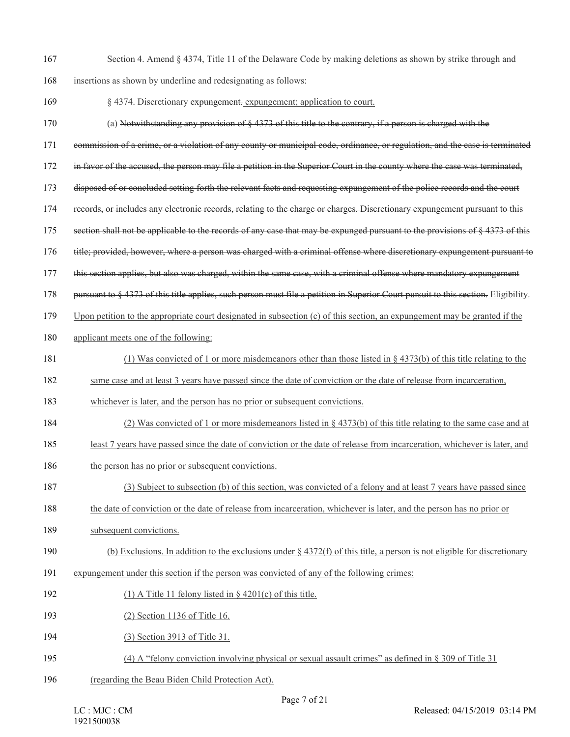Section 4. Amend § 4374, Title 11 of the Delaware Code by making deletions as shown by strike through and

insertions as shown by underline and redesignating as follows:

- § 4374. Discretionary expungement. expungement; application to court.
- (a) Notwithstanding any provision of § 4373 of this title to the contrary, if a person is charged with the
- commission of a crime, or a violation of any county or municipal code, ordinance, or regulation, and the case is terminated
- in favor of the accused, the person may file a petition in the Superior Court in the county where the case was terminated,
- disposed of or concluded setting forth the relevant facts and requesting expungement of the police records and the court
- records, or includes any electronic records, relating to the charge or charges. Discretionary expungement pursuant to this
- 175 section shall not be applicable to the records of any case that may be expunged pursuant to the provisions of § 4373 of this
- title; provided, however, where a person was charged with a criminal offense where discretionary expungement pursuant to
- this section applies, but also was charged, within the same case, with a criminal offense where mandatory expungement
- 178 pursuant to § 4373 of this title applies, such person must file a petition in Superior Court pursuit to this section. Eligibility.
- Upon petition to the appropriate court designated in subsection (c) of this section, an expungement may be granted if the
- applicant meets one of the following:
- (1) Was convicted of 1 or more misdemeanors other than those listed in § 4373(b) of this title relating to the
- same case and at least 3 years have passed since the date of conviction or the date of release from incarceration,
- whichever is later, and the person has no prior or subsequent convictions.
- (2) Was convicted of 1 or more misdemeanors listed in § 4373(b) of this title relating to the same case and at
- least 7 years have passed since the date of conviction or the date of release from incarceration, whichever is later, and
- 186 the person has no prior or subsequent convictions.
- (3) Subject to subsection (b) of this section, was convicted of a felony and at least 7 years have passed since
- the date of conviction or the date of release from incarceration, whichever is later, and the person has no prior or
- subsequent convictions.
- 190 (b) Exclusions. In addition to the exclusions under  $\S$  4372(f) of this title, a person is not eligible for discretionary
- expungement under this section if the person was convicted of any of the following crimes:
- 192 (1) A Title 11 felony listed in  $\S$  4201(c) of this title.
- (2) Section 1136 of Title 16.
- (3) Section 3913 of Title 31.
- (4) A "felony conviction involving physical or sexual assault crimes" as defined in § 309 of Title 31
- (regarding the Beau Biden Child Protection Act).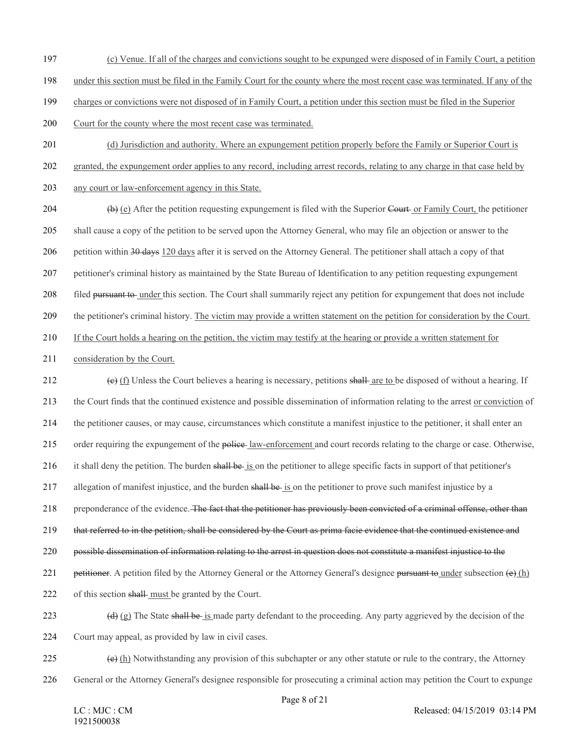- (c) Venue. If all of the charges and convictions sought to be expunged were disposed of in Family Court, a petition
- under this section must be filed in the Family Court for the county where the most recent case was terminated. If any of the
- charges or convictions were not disposed of in Family Court, a petition under this section must be filed in the Superior
- Court for the county where the most recent case was terminated.
- 201 (d) Jurisdiction and authority. Where an expungement petition properly before the Family or Superior Court is
- granted, the expungement order applies to any record, including arrest records, relating to any charge in that case held by
- any court or law-enforcement agency in this State.
- (b) (e) After the petition requesting expungement is filed with the Superior Court or Family Court, the petitioner shall cause a copy of the petition to be served upon the Attorney General, who may file an objection or answer to the
- petition within 30 days 120 days after it is served on the Attorney General. The petitioner shall attach a copy of that
- petitioner's criminal history as maintained by the State Bureau of Identification to any petition requesting expungement
- filed pursuant to under this section. The Court shall summarily reject any petition for expungement that does not include
- the petitioner's criminal history. The victim may provide a written statement on the petition for consideration by the Court.
- If the Court holds a hearing on the petition, the victim may testify at the hearing or provide a written statement for
- consideration by the Court.
- 212  $\left(e\right)$  (f) Unless the Court believes a hearing is necessary, petitions shall are to be disposed of without a hearing. If the Court finds that the continued existence and possible dissemination of information relating to the arrest or conviction of the petitioner causes, or may cause, circumstances which constitute a manifest injustice to the petitioner, it shall enter an order requiring the expungement of the police law-enforcement and court records relating to the charge or case. Otherwise, 216 it shall deny the petition. The burden shall be is on the petitioner to allege specific facts in support of that petitioner's 217 allegation of manifest injustice, and the burden shall be is on the petitioner to prove such manifest injustice by a 218 preponderance of the evidence. The fact that the petitioner has previously been convicted of a criminal offense, other than that referred to in the petition, shall be considered by the Court as prima facie evidence that the continued existence and possible dissemination of information relating to the arrest in question does not constitute a manifest injustice to the 221 petitioner. A petition filed by the Attorney General or the Attorney General's designee pursuant to under subsection  $(e)$  (h) of this section shall must be granted by the Court. 223 (d) (g) The State shall be is made party defendant to the proceeding. Any party aggrieved by the decision of the Court may appeal, as provided by law in civil cases.
- (e) (h) Notwithstanding any provision of this subchapter or any other statute or rule to the contrary, the Attorney
- General or the Attorney General's designee responsible for prosecuting a criminal action may petition the Court to expunge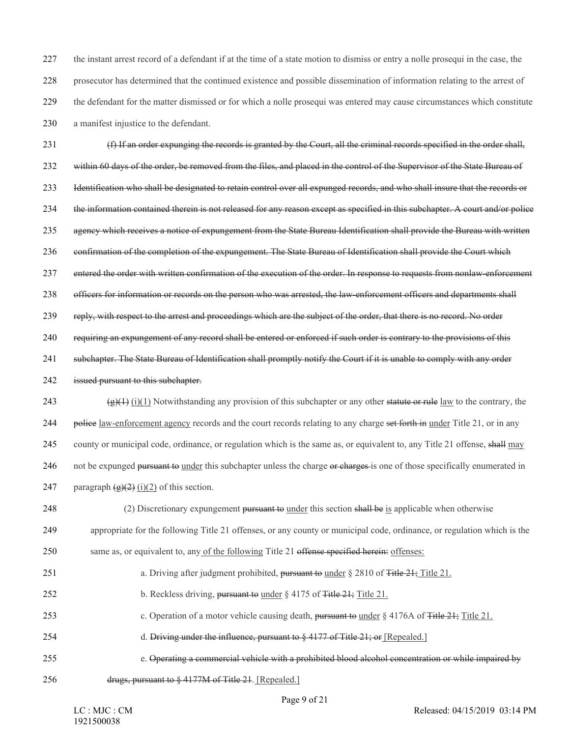the instant arrest record of a defendant if at the time of a state motion to dismiss or entry a nolle prosequi in the case, the prosecutor has determined that the continued existence and possible dissemination of information relating to the arrest of the defendant for the matter dismissed or for which a nolle prosequi was entered may cause circumstances which constitute a manifest injustice to the defendant.

231 (f) If an order expunging the records is granted by the Court, all the criminal records specified in the order shall, 232 within 60 days of the order, be removed from the files, and placed in the control of the Supervisor of the State Bureau of 233 Identification who shall be designated to retain control over all expunged records, and who shall insure that the records or 234 the information contained therein is not released for any reason except as specified in this subchapter. A court and/or police 235 agency which receives a notice of expungement from the State Bureau Identification shall provide the Bureau with written 236 confirmation of the completion of the expungement. The State Bureau of Identification shall provide the Court which 237 entered the order with written confirmation of the execution of the order. In response to requests from nonlaw-enforcement 238 officers for information or records on the person who was arrested, the law-enforcement officers and departments shall 239 reply, with respect to the arrest and proceedings which are the subject of the order, that there is no record. No order 240 requiring an expungement of any record shall be entered or enforced if such order is contrary to the provisions of this 241 subchapter. The State Bureau of Identification shall promptly notify the Court if it is unable to comply with any order 242 issued pursuant to this subchapter. 243 (g)(1) Notwithstanding any provision of this subchapter or any other statute or rule law to the contrary, the 244 police law-enforcement agency records and the court records relating to any charge set forth in under Title 21, or in any 245 county or municipal code, ordinance, or regulation which is the same as, or equivalent to, any Title 21 offense, shall may 246 not be expunged pursuant to under this subchapter unless the charge or charges is one of those specifically enumerated in 247 paragraph  $\left(\frac{g}{2}\right)(i)(2)$  of this section. 248 (2) Discretionary expungement pursuant to under this section shall be is applicable when otherwise 249 appropriate for the following Title 21 offenses, or any county or municipal code, ordinance, or regulation which is the 250 same as, or equivalent to, any of the following Title 21 offense specified herein: offenses: 251 a. Driving after judgment prohibited, pursuant to under § 2810 of Title 21; Title 21. 252 b. Reckless driving, pursuant to under § 4175 of Title 21; Title 21. 253 c. Operation of a motor vehicle causing death, pursuant to under § 4176A of Title 21; Title 21. 254 d. Driving under the influence, pursuant to  $\frac{1}{2}$  and Title 21; or [Repealed.] 255 e. Operating a commercial vehicle with a prohibited blood alcohol concentration or while impaired by 256 drugs, pursuant to § 4177M of Title 21. [Repealed.]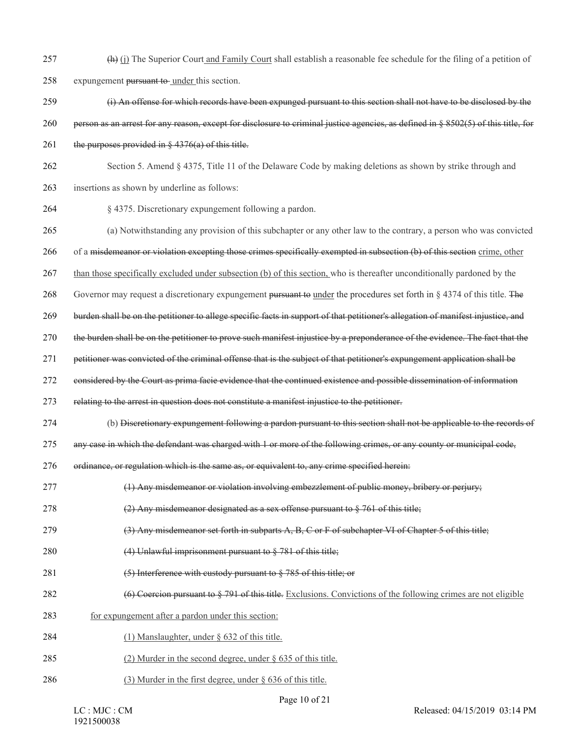- 257 (h) (j) The Superior Court and Family Court shall establish a reasonable fee schedule for the filing of a petition of expungement pursuant to under this section.
- (i) An offense for which records have been expunged pursuant to this section shall not have to be disclosed by the
- person as an arrest for any reason, except for disclosure to criminal justice agencies, as defined in § 8502(5) of this title, for
- 261 the purposes provided in  $\frac{6}{7}$  4376(a) of this title.
- Section 5. Amend § 4375, Title 11 of the Delaware Code by making deletions as shown by strike through and
- insertions as shown by underline as follows:
- § 4375. Discretionary expungement following a pardon.
- (a) Notwithstanding any provision of this subchapter or any other law to the contrary, a person who was convicted
- of a misdemeanor or violation excepting those crimes specifically exempted in subsection (b) of this section crime, other
- 267 than those specifically excluded under subsection (b) of this section, who is thereafter unconditionally pardoned by the
- Governor may request a discretionary expungement pursuant to under the procedures set forth in § 4374 of this title. The
- burden shall be on the petitioner to allege specific facts in support of that petitioner's allegation of manifest injustice, and
- the burden shall be on the petitioner to prove such manifest injustice by a preponderance of the evidence. The fact that the
- petitioner was convicted of the criminal offense that is the subject of that petitioner's expungement application shall be
- considered by the Court as prima facie evidence that the continued existence and possible dissemination of information
- relating to the arrest in question does not constitute a manifest injustice to the petitioner.
- (b) Discretionary expungement following a pardon pursuant to this section shall not be applicable to the records of
- any case in which the defendant was charged with 1 or more of the following crimes, or any county or municipal code,
- ordinance, or regulation which is the same as, or equivalent to, any crime specified herein:
- (1) Any misdemeanor or violation involving embezzlement of public money, bribery or perjury;
- (2) Any misdemeanor designated as a sex offense pursuant to § 761 of this title;
- (3) Any misdemeanor set forth in subparts A, B, C or F of subchapter VI of Chapter 5 of this title;
- 280 (4) Unlawful imprisonment pursuant to § 781 of this title;
- 281 (5) Interference with custody pursuant to § 785 of this title; or
- 282 (6) Coercion pursuant to § 791 of this title. Exclusions. Convictions of the following crimes are not eligible
- for expungement after a pardon under this section:
- 284 (1) Manslaughter, under § 632 of this title.
- 285 (2) Murder in the second degree, under  $\S$  635 of this title.
- 286 (3) Murder in the first degree, under § 636 of this title.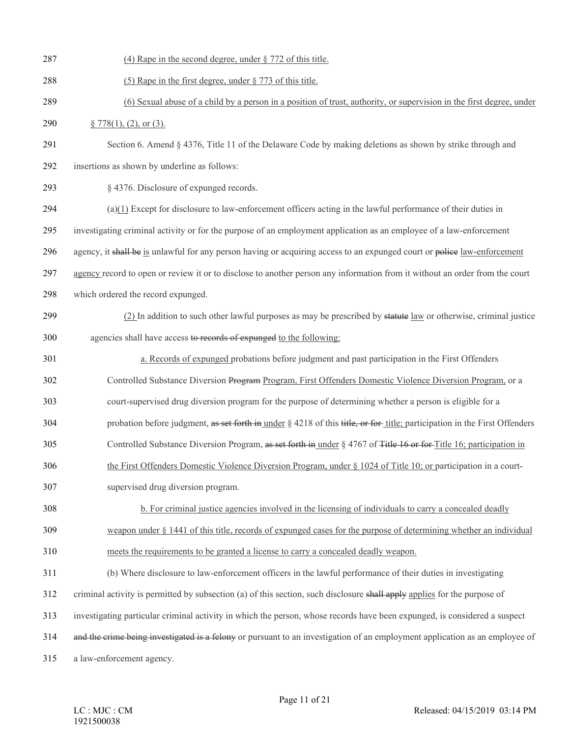| 287 | (4) Rape in the second degree, under $\S 772$ of this title.                                                                |
|-----|-----------------------------------------------------------------------------------------------------------------------------|
| 288 | (5) Rape in the first degree, under $\S 773$ of this title.                                                                 |
| 289 | (6) Sexual abuse of a child by a person in a position of trust, authority, or supervision in the first degree, under        |
| 290 | § 778(1), (2), or (3).                                                                                                      |
| 291 | Section 6. Amend § 4376, Title 11 of the Delaware Code by making deletions as shown by strike through and                   |
| 292 | insertions as shown by underline as follows:                                                                                |
| 293 | § 4376. Disclosure of expunged records.                                                                                     |
| 294 | $(a)(1)$ Except for disclosure to law-enforcement officers acting in the lawful performance of their duties in              |
| 295 | investigating criminal activity or for the purpose of an employment application as an employee of a law-enforcement         |
| 296 | agency, it shall be is unlawful for any person having or acquiring access to an expunged court or police law-enforcement    |
| 297 | agency record to open or review it or to disclose to another person any information from it without an order from the court |
| 298 | which ordered the record expunged.                                                                                          |
| 299 | (2) In addition to such other lawful purposes as may be prescribed by stature law or otherwise, criminal justice            |
| 300 | agencies shall have access to records of expunged to the following:                                                         |
| 301 | a. Records of expunged probations before judgment and past participation in the First Offenders                             |
| 302 | Controlled Substance Diversion Program Program, First Offenders Domestic Violence Diversion Program, or a                   |
| 303 | court-supervised drug diversion program for the purpose of determining whether a person is eligible for a                   |
| 304 | probation before judgment, as set forth in under § 4218 of this title, or for-title; participation in the First Offenders   |
| 305 | Controlled Substance Diversion Program, as set forth in under § 4767 of Title 16 or for Title 16; participation in          |
| 306 | the First Offenders Domestic Violence Diversion Program, under § 1024 of Title 10; or participation in a court-             |
| 307 | supervised drug diversion program.                                                                                          |
| 308 | b. For criminal justice agencies involved in the licensing of individuals to carry a concealed deadly                       |
| 309 | weapon under § 1441 of this title, records of expunged cases for the purpose of determining whether an individual           |
| 310 | meets the requirements to be granted a license to carry a concealed deadly weapon.                                          |
| 311 | (b) Where disclosure to law-enforcement officers in the lawful performance of their duties in investigating                 |
| 312 | criminal activity is permitted by subsection (a) of this section, such disclosure shall apply applies for the purpose of    |
| 313 | investigating particular criminal activity in which the person, whose records have been expunged, is considered a suspect   |
| 314 | and the crime being investigated is a felony or pursuant to an investigation of an employment application as an employee of |
| 315 | a law-enforcement agency.                                                                                                   |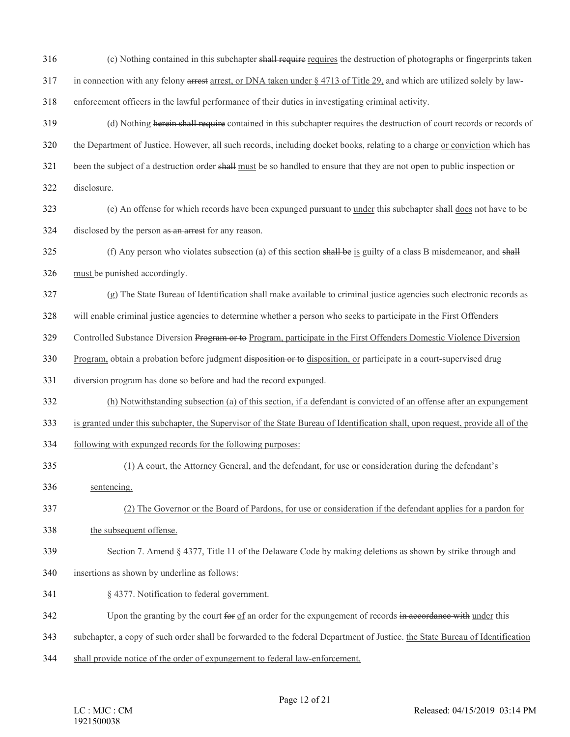| 316 | (c) Nothing contained in this subchapter shall require requires the destruction of photographs or fingerprints taken           |
|-----|--------------------------------------------------------------------------------------------------------------------------------|
| 317 | in connection with any felony arrest arrest, or DNA taken under $\S$ 4713 of Title 29, and which are utilized solely by law-   |
| 318 | enforcement officers in the lawful performance of their duties in investigating criminal activity.                             |
| 319 | (d) Nothing herein shall require contained in this subchapter requires the destruction of court records or records of          |
| 320 | the Department of Justice. However, all such records, including docket books, relating to a charge or conviction which has     |
| 321 | been the subject of a destruction order shall must be so handled to ensure that they are not open to public inspection or      |
| 322 | disclosure.                                                                                                                    |
| 323 | (e) An offense for which records have been expunged pursuant to under this subchapter shall does not have to be                |
| 324 | disclosed by the person as an arrest for any reason.                                                                           |
| 325 | (f) Any person who violates subsection (a) of this section shall be is guilty of a class B misdemeanor, and shall              |
| 326 | must be punished accordingly.                                                                                                  |
| 327 | (g) The State Bureau of Identification shall make available to criminal justice agencies such electronic records as            |
| 328 | will enable criminal justice agencies to determine whether a person who seeks to participate in the First Offenders            |
| 329 | Controlled Substance Diversion Program or to Program, participate in the First Offenders Domestic Violence Diversion           |
| 330 | Program, obtain a probation before judgment disposition or to disposition, or participate in a court-supervised drug           |
| 331 | diversion program has done so before and had the record expunged.                                                              |
| 332 | (h) Notwithstanding subsection (a) of this section, if a defendant is convicted of an offense after an expungement             |
| 333 | is granted under this subchapter, the Supervisor of the State Bureau of Identification shall, upon request, provide all of the |
| 334 | following with expunged records for the following purposes:                                                                    |
| 335 | (1) A court, the Attorney General, and the defendant, for use or consideration during the defendant's                          |
| 336 | sentencing.                                                                                                                    |
| 337 | (2) The Governor or the Board of Pardons, for use or consideration if the defendant applies for a pardon for                   |
| 338 | the subsequent offense.                                                                                                        |
| 339 | Section 7. Amend § 4377, Title 11 of the Delaware Code by making deletions as shown by strike through and                      |
| 340 | insertions as shown by underline as follows:                                                                                   |
| 341 | § 4377. Notification to federal government.                                                                                    |
| 342 | Upon the granting by the court for $of$ an order for the expungement of records in accordance with under this                  |
| 343 | subchapter, a copy of such order shall be forwarded to the federal Department of Justice. the State Bureau of Identification   |
| 344 | shall provide notice of the order of expungement to federal law-enforcement.                                                   |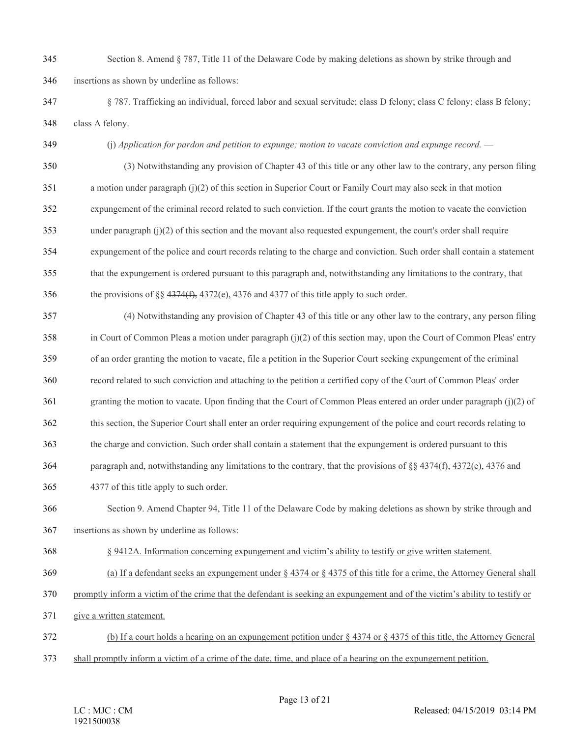- Section 8. Amend § 787, Title 11 of the Delaware Code by making deletions as shown by strike through and insertions as shown by underline as follows:
- § 787. Trafficking an individual, forced labor and sexual servitude; class D felony; class C felony; class B felony; class A felony.
- (j) *Application for pardon and petition to expunge; motion to vacate conviction and expunge record.* —
- (3) Notwithstanding any provision of Chapter 43 of this title or any other law to the contrary, any person filing a motion under paragraph (j)(2) of this section in Superior Court or Family Court may also seek in that motion expungement of the criminal record related to such conviction. If the court grants the motion to vacate the conviction under paragraph (j)(2) of this section and the movant also requested expungement, the court's order shall require expungement of the police and court records relating to the charge and conviction. Such order shall contain a statement that the expungement is ordered pursuant to this paragraph and, notwithstanding any limitations to the contrary, that
- 356 the provisions of §§  $4374(f)$ ,  $4372(e)$ ,  $4376$  and  $4377$  of this title apply to such order.
- (4) Notwithstanding any provision of Chapter 43 of this title or any other law to the contrary, any person filing in Court of Common Pleas a motion under paragraph (j)(2) of this section may, upon the Court of Common Pleas' entry of an order granting the motion to vacate, file a petition in the Superior Court seeking expungement of the criminal record related to such conviction and attaching to the petition a certified copy of the Court of Common Pleas' order granting the motion to vacate. Upon finding that the Court of Common Pleas entered an order under paragraph (j)(2) of this section, the Superior Court shall enter an order requiring expungement of the police and court records relating to the charge and conviction. Such order shall contain a statement that the expungement is ordered pursuant to this paragraph and, notwithstanding any limitations to the contrary, that the provisions of §§ 4374(f), 4372(e), 4376 and 4377 of this title apply to such order. Section 9. Amend Chapter 94, Title 11 of the Delaware Code by making deletions as shown by strike through and insertions as shown by underline as follows:
- § 9412A. Information concerning expungement and victim's ability to testify or give written statement.
- (a) If a defendant seeks an expungement under § 4374 or § 4375 of this title for a crime, the Attorney General shall
- promptly inform a victim of the crime that the defendant is seeking an expungement and of the victim's ability to testify or
- give a written statement.
- (b) If a court holds a hearing on an expungement petition under § 4374 or § 4375 of this title, the Attorney General
- shall promptly inform a victim of a crime of the date, time, and place of a hearing on the expungement petition.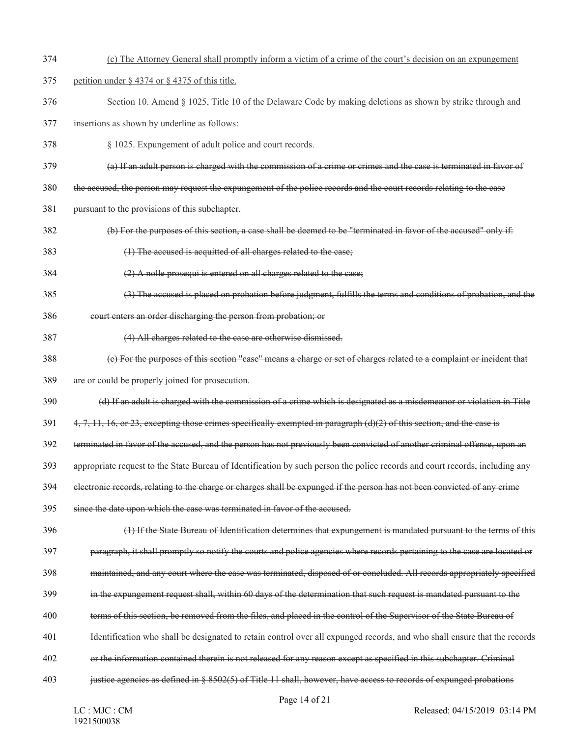- (c) The Attorney General shall promptly inform a victim of a crime of the court's decision on an expungement
- petition under § 4374 or § 4375 of this title.
- Section 10. Amend § 1025, Title 10 of the Delaware Code by making deletions as shown by strike through and
- insertions as shown by underline as follows:
- § 1025. Expungement of adult police and court records.
- (a) If an adult person is charged with the commission of a crime or crimes and the case is terminated in favor of
- the accused, the person may request the expungement of the police records and the court records relating to the case
- pursuant to the provisions of this subchapter.
- (b) For the purposes of this section, a case shall be deemed to be "terminated in favor of the accused" only if:
- (1) The accused is acquitted of all charges related to the case;
- (2) A nolle prosequi is entered on all charges related to the case;
- (3) The accused is placed on probation before judgment, fulfills the terms and conditions of probation, and the
- court enters an order discharging the person from probation; or
- (4) All charges related to the case are otherwise dismissed.
- (c) For the purposes of this section "case" means a charge or set of charges related to a complaint or incident that
- are or could be properly joined for prosecution.
- (d) If an adult is charged with the commission of a crime which is designated as a misdemeanor or violation in Title
- 4, 7, 11, 16, or 23, excepting those crimes specifically exempted in paragraph (d)(2) of this section, and the case is
- terminated in favor of the accused, and the person has not previously been convicted of another criminal offense, upon an
- appropriate request to the State Bureau of Identification by such person the police records and court records, including any
- electronic records, relating to the charge or charges shall be expunged if the person has not been convicted of any crime
- since the date upon which the case was terminated in favor of the accused.
- (1) If the State Bureau of Identification determines that expungement is mandated pursuant to the terms of this
- paragraph, it shall promptly so notify the courts and police agencies where records pertaining to the case are located or
- maintained, and any court where the case was terminated, disposed of or concluded. All records appropriately specified
- in the expungement request shall, within 60 days of the determination that such request is mandated pursuant to the
- terms of this section, be removed from the files, and placed in the control of the Supervisor of the State Bureau of
- Identification who shall be designated to retain control over all expunged records, and who shall ensure that the records
- or the information contained therein is not released for any reason except as specified in this subchapter. Criminal
- justice agencies as defined in § 8502(5) of Title 11 shall, however, have access to records of expunged probations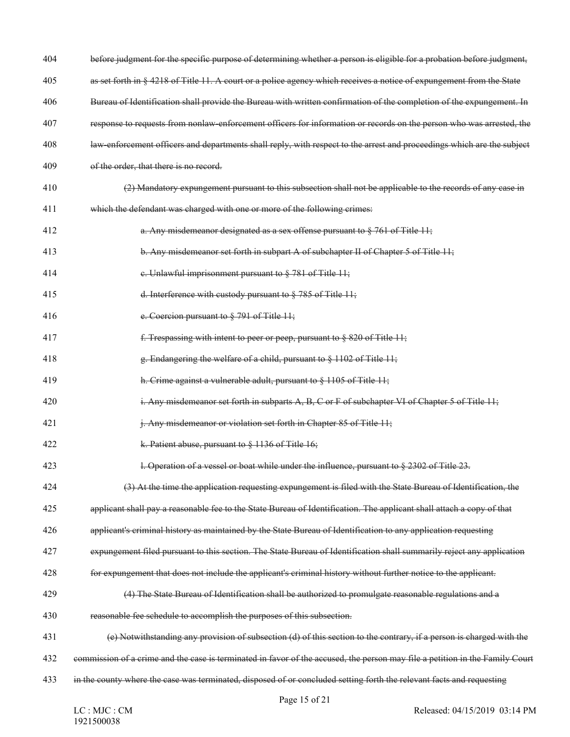| 404 | before judgment for the specific purpose of determining whether a person is eligible for a probation before judgment,        |
|-----|------------------------------------------------------------------------------------------------------------------------------|
| 405 | as set forth in § 4218 of Title 11. A court or a police agency which receives a notice of expungement from the State         |
| 406 | Bureau of Identification shall provide the Bureau with written confirmation of the completion of the expungement. In         |
| 407 | response to requests from nonlaw-enforcement officers for information or records on the person who was arrested, the         |
| 408 | law-enforcement officers and departments shall reply, with respect to the arrest and proceedings which are the subject       |
| 409 | of the order, that there is no record.                                                                                       |
| 410 | (2) Mandatory expungement pursuant to this subsection shall not be applicable to the records of any case in                  |
| 411 | which the defendant was charged with one or more of the following crimes:                                                    |
| 412 | a. Any misdemeanor designated as a sex offense pursuant to § 761 of Title 11;                                                |
| 413 | b. Any misdemeanor set forth in subpart A of subchapter II of Chapter 5 of Title 11;                                         |
| 414 | e. Unlawful imprisonment pursuant to $\S$ 781 of Title 11;                                                                   |
| 415 | d. Interference with custody pursuant to $\S$ 785 of Title 11;                                                               |
| 416 | e. Coercion pursuant to § 791 of Title 11;                                                                                   |
| 417 | f. Trespassing with intent to peer or peep, pursuant to $\S$ 820 of Title 11;                                                |
| 418 | g. Endangering the welfare of a child, pursuant to $\S$ 1102 of Title 11;                                                    |
| 419 | h. Crime against a vulnerable adult, pursuant to § 1105 of Title 11;                                                         |
| 420 | i. Any misdemeanor set forth in subparts A, B, C or F of subchapter VI of Chapter 5 of Title 11;                             |
| 421 | j. Any misdemeanor or violation set forth in Chapter 85 of Title 11;                                                         |
| 422 | k. Patient abuse, pursuant to § 1136 of Title 16;                                                                            |
| 423 | l. Operation of a vessel or boat while under the influence, pursuant to § 2302 of Title 23.                                  |
| 424 | (3) At the time the application requesting expungement is filed with the State Bureau of Identification, the                 |
| 425 | applicant shall pay a reasonable fee to the State Bureau of Identification. The applicant shall attach a copy of that        |
| 426 | applicant's criminal history as maintained by the State Bureau of Identification to any application requesting               |
| 427 | expungement filed pursuant to this section. The State Bureau of Identification shall summarily reject any application        |
| 428 | for expungement that does not include the applicant's criminal history without further notice to the applicant.              |
| 429 | (4) The State Bureau of Identification shall be authorized to promulgate reasonable regulations and a                        |
| 430 | reasonable fee schedule to accomplish the purposes of this subsection.                                                       |
| 431 | (e) Notwithstanding any provision of subsection (d) of this section to the contrary, if a person is charged with the         |
| 432 | commission of a crime and the case is terminated in favor of the accused, the person may file a petition in the Family Court |
| 433 | in the county where the case was terminated, disposed of or concluded setting forth the relevant facts and requesting        |
|     | Page 15 of 21<br>$D_{0}$ $1_{0}$ $2_{0}$ $3_{1}$ $0$ $1/15/2010$ $02.14$ $D14$<br>$1 \cap \cdot M1 \cap \cdot C M$           |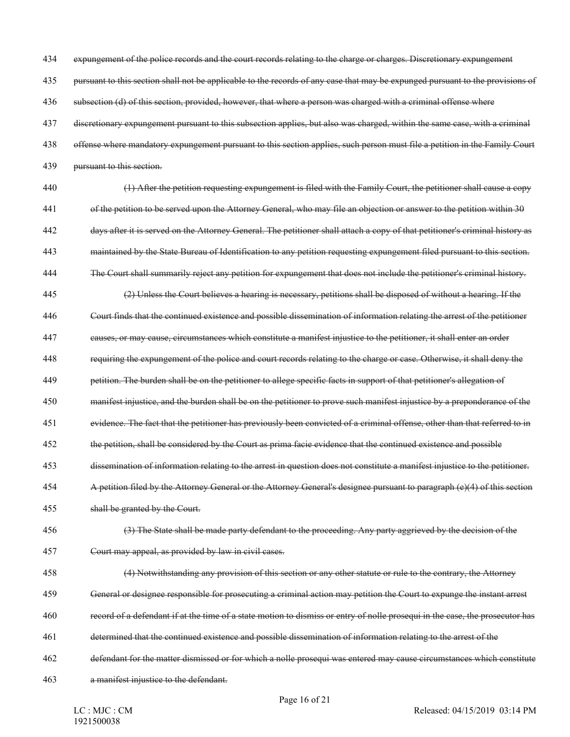expungement of the police records and the court records relating to the charge or charges. Discretionary expungement

pursuant to this section shall not be applicable to the records of any case that may be expunged pursuant to the provisions of

436 subsection (d) of this section, provided, however, that where a person was charged with a criminal offense where

discretionary expungement pursuant to this subsection applies, but also was charged, within the same case, with a criminal

- offense where mandatory expungement pursuant to this section applies, such person must file a petition in the Family Court
- pursuant to this section.
- (1) After the petition requesting expungement is filed with the Family Court, the petitioner shall cause a copy of the petition to be served upon the Attorney General, who may file an objection or answer to the petition within 30 days after it is served on the Attorney General. The petitioner shall attach a copy of that petitioner's criminal history as
- maintained by the State Bureau of Identification to any petition requesting expungement filed pursuant to this section.
- The Court shall summarily reject any petition for expungement that does not include the petitioner's criminal history.
- (2) Unless the Court believes a hearing is necessary, petitions shall be disposed of without a hearing. If the
- Court finds that the continued existence and possible dissemination of information relating the arrest of the petitioner
- causes, or may cause, circumstances which constitute a manifest injustice to the petitioner, it shall enter an order
- requiring the expungement of the police and court records relating to the charge or case. Otherwise, it shall deny the
- petition. The burden shall be on the petitioner to allege specific facts in support of that petitioner's allegation of
- manifest injustice, and the burden shall be on the petitioner to prove such manifest injustice by a preponderance of the
- evidence. The fact that the petitioner has previously been convicted of a criminal offense, other than that referred to in
- the petition, shall be considered by the Court as prima facie evidence that the continued existence and possible
- dissemination of information relating to the arrest in question does not constitute a manifest injustice to the petitioner.
- A petition filed by the Attorney General or the Attorney General's designee pursuant to paragraph (e)(4) of this section
- shall be granted by the Court.
- (3) The State shall be made party defendant to the proceeding. Any party aggrieved by the decision of the Court may appeal, as provided by law in civil cases.
- (4) Notwithstanding any provision of this section or any other statute or rule to the contrary, the Attorney
- General or designee responsible for prosecuting a criminal action may petition the Court to expunge the instant arrest
- record of a defendant if at the time of a state motion to dismiss or entry of nolle prosequi in the case, the prosecutor has
- determined that the continued existence and possible dissemination of information relating to the arrest of the
- defendant for the matter dismissed or for which a nolle prosequi was entered may cause circumstances which constitute
- a manifest injustice to the defendant.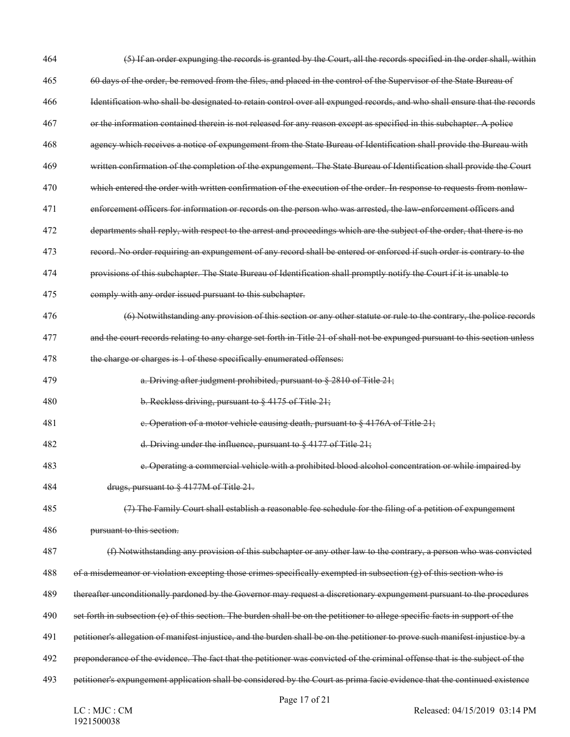| 464 | (5) If an order expunging the records is granted by the Court, all the records specified in the order shall, within            |
|-----|--------------------------------------------------------------------------------------------------------------------------------|
| 465 | 60 days of the order, be removed from the files, and placed in the control of the Supervisor of the State Bureau of            |
| 466 | Identification who shall be designated to retain control over all expunged records, and who shall ensure that the records      |
| 467 | or the information contained therein is not released for any reason except as specified in this subchapter. A police           |
| 468 | agency which receives a notice of expungement from the State Bureau of Identification shall provide the Bureau with            |
| 469 | written confirmation of the completion of the expungement. The State Bureau of Identification shall provide the Court          |
| 470 | which entered the order with written confirmation of the execution of the order. In response to requests from nonlaw-          |
| 471 | enforcement officers for information or records on the person who was arrested, the law-enforcement officers and               |
| 472 | departments shall reply, with respect to the arrest and proceedings which are the subject of the order, that there is no       |
| 473 | record. No order requiring an expungement of any record shall be entered or enforced if such order is contrary to the          |
| 474 | provisions of this subchapter. The State Bureau of Identification shall promptly notify the Court if it is unable to           |
| 475 | comply with any order issued pursuant to this subchapter.                                                                      |
| 476 | (6) Notwithstanding any provision of this section or any other statute or rule to the contrary, the police records             |
| 477 | and the court records relating to any charge set forth in Title 21 of shall not be expunged pursuant to this section unless    |
| 478 | the charge or charges is 1 of these specifically enumerated offenses:                                                          |
| 479 | a. Driving after judgment prohibited, pursuant to § 2810 of Title 21;                                                          |
| 480 | b. Reckless driving, pursuant to $\S$ 4175 of Title 21;                                                                        |
| 481 | e. Operation of a motor vehicle causing death, pursuant to § 4176A of Title 21;                                                |
| 482 | d. Driving under the influence, pursuant to $\S$ 4177 of Title 21;                                                             |
| 483 | e. Operating a commercial vehicle with a prohibited blood alcohol concentration or while impaired by                           |
| 484 | drugs, pursuant to § 4177M of Title 21.                                                                                        |
| 485 | (7) The Family Court shall establish a reasonable fee schedule for the filing of a petition of expungement                     |
| 486 | pursuant to this section.                                                                                                      |
| 487 | (f) Notwithstanding any provision of this subchapter or any other law to the contrary, a person who was convicted              |
| 488 | of a misdemeanor or violation excepting those crimes specifically exempted in subsection $(g)$ of this section who is          |
| 489 | thereafter unconditionally pardoned by the Governor may request a discretionary expungement pursuant to the procedures         |
| 490 | set forth in subsection (e) of this section. The burden shall be on the petitioner to allege specific facts in support of the  |
| 491 | petitioner's allegation of manifest injustice, and the burden shall be on the petitioner to prove such manifest injustice by a |
| 492 | preponderance of the evidence. The fact that the petitioner was convicted of the criminal offense that is the subject of the   |
| 493 | petitioner's expungement application shall be considered by the Court as prima facie evidence that the continued existence     |
|     | Page 17 of 21                                                                                                                  |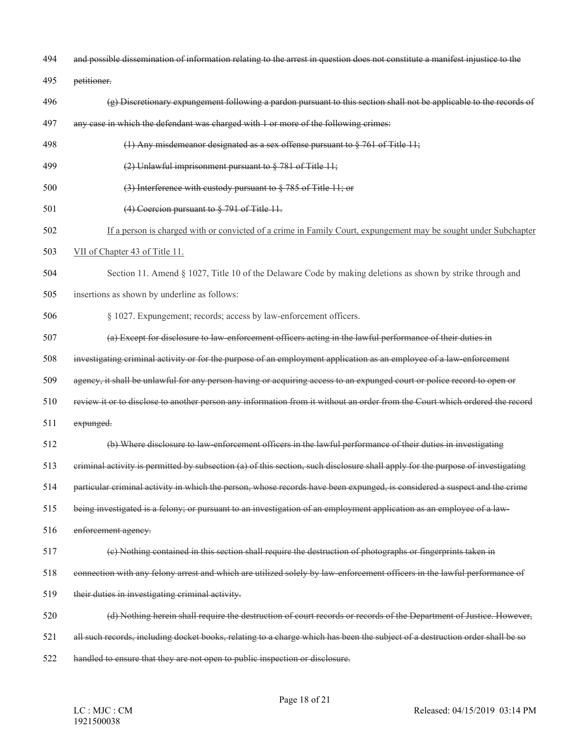- and possible dissemination of information relating to the arrest in question does not constitute a manifest injustice to the
- petitioner.
- (g) Discretionary expungement following a pardon pursuant to this section shall not be applicable to the records of
- any case in which the defendant was charged with 1 or more of the following crimes:
- (1) Any misdemeanor designated as a sex offense pursuant to § 761 of Title 11;
- (2) Unlawful imprisonment pursuant to § 781 of Title 11;
- (3) Interference with custody pursuant to § 785 of Title 11; or
- (4) Coercion pursuant to § 791 of Title 11.
- If a person is charged with or convicted of a crime in Family Court, expungement may be sought under Subchapter
- VII of Chapter 43 of Title 11.
- Section 11. Amend § 1027, Title 10 of the Delaware Code by making deletions as shown by strike through and
- insertions as shown by underline as follows:
- § 1027. Expungement; records; access by law-enforcement officers.
- (a) Except for disclosure to law-enforcement officers acting in the lawful performance of their duties in
- investigating criminal activity or for the purpose of an employment application as an employee of a law-enforcement
- agency, it shall be unlawful for any person having or acquiring access to an expunged court or police record to open or
- review it or to disclose to another person any information from it without an order from the Court which ordered the record
- expunged.
- (b) Where disclosure to law-enforcement officers in the lawful performance of their duties in investigating
- criminal activity is permitted by subsection (a) of this section, such disclosure shall apply for the purpose of investigating
- particular criminal activity in which the person, whose records have been expunged, is considered a suspect and the crime
- being investigated is a felony; or pursuant to an investigation of an employment application as an employee of a law-
- 516 enforcement agency.
- (c) Nothing contained in this section shall require the destruction of photographs or fingerprints taken in
- connection with any felony arrest and which are utilized solely by law-enforcement officers in the lawful performance of
- their duties in investigating criminal activity.
- (d) Nothing herein shall require the destruction of court records or records of the Department of Justice. However,
- all such records, including docket books, relating to a charge which has been the subject of a destruction order shall be so
- handled to ensure that they are not open to public inspection or disclosure.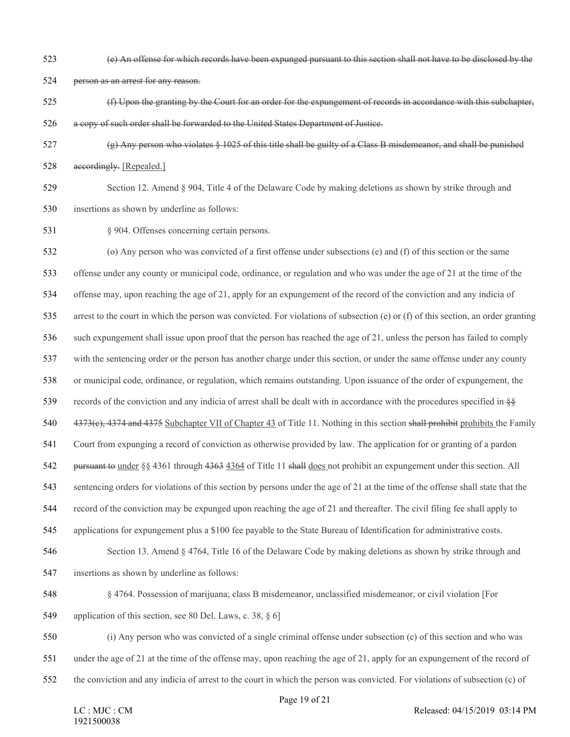(e) An offense for which records have been expunged pursuant to this section shall not have to be disclosed by the

person as an arrest for any reason.

- (f) Upon the granting by the Court for an order for the expungement of records in accordance with this subchapter, a copy of such order shall be forwarded to the United States Department of Justice.
- (g) Any person who violates § 1025 of this title shall be guilty of a Class B misdemeanor, and shall be punished accordingly. [Repealed.]

 Section 12. Amend § 904, Title 4 of the Delaware Code by making deletions as shown by strike through and insertions as shown by underline as follows:

§ 904. Offenses concerning certain persons.

 (o) Any person who was convicted of a first offense under subsections (e) and (f) of this section or the same offense under any county or municipal code, ordinance, or regulation and who was under the age of 21 at the time of the offense may, upon reaching the age of 21, apply for an expungement of the record of the conviction and any indicia of arrest to the court in which the person was convicted. For violations of subsection (e) or (f) of this section, an order granting such expungement shall issue upon proof that the person has reached the age of 21, unless the person has failed to comply with the sentencing order or the person has another charge under this section, or under the same offense under any county or municipal code, ordinance, or regulation, which remains outstanding. Upon issuance of the order of expungement, the 539 records of the conviction and any indicia of arrest shall be dealt with in accordance with the procedures specified in  $\frac{150}{100}$ 540 4373(e), 4374 and 4375 Subchapter VII of Chapter 43 of Title 11. Nothing in this section shall prohibit prohibits the Family Court from expunging a record of conviction as otherwise provided by law. The application for or granting of a pardon pursuant to under §§ 4361 through 4363 4364 of Title 11 shall does not prohibit an expungement under this section. All sentencing orders for violations of this section by persons under the age of 21 at the time of the offense shall state that the record of the conviction may be expunged upon reaching the age of 21 and thereafter. The civil filing fee shall apply to applications for expungement plus a \$100 fee payable to the State Bureau of Identification for administrative costs. Section 13. Amend § 4764, Title 16 of the Delaware Code by making deletions as shown by strike through and insertions as shown by underline as follows: § 4764. Possession of marijuana; class B misdemeanor, unclassified misdemeanor, or civil violation [For 549 application of this section, see 80 Del. Laws, c. 38, § 6] (i) Any person who was convicted of a single criminal offense under subsection (c) of this section and who was

under the age of 21 at the time of the offense may, upon reaching the age of 21, apply for an expungement of the record of

the conviction and any indicia of arrest to the court in which the person was convicted. For violations of subsection (c) of

Page 19 of 21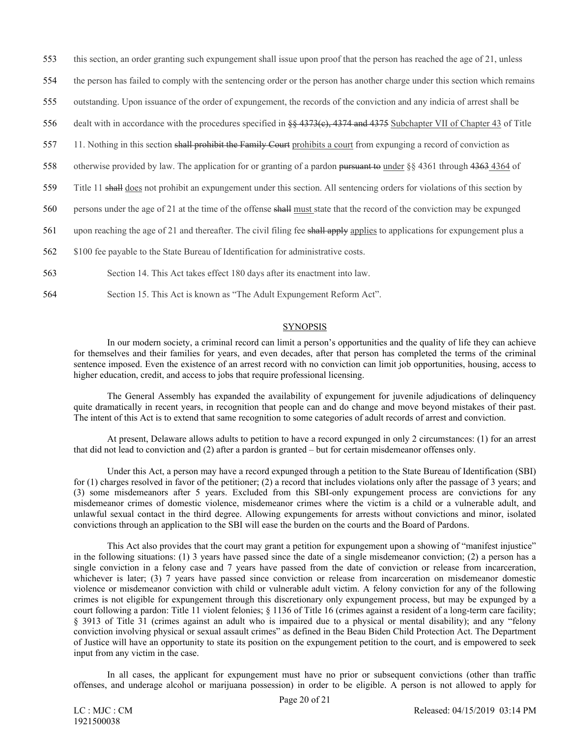- 553 this section, an order granting such expungement shall issue upon proof that the person has reached the age of 21, unless
- 554 the person has failed to comply with the sentencing order or the person has another charge under this section which remains
- 555 outstanding. Upon issuance of the order of expungement, the records of the conviction and any indicia of arrest shall be
- 556 dealt with in accordance with the procedures specified in §§ 4373(c), 4374 and 4375 Subchapter VII of Chapter 43 of Title
- 557 11. Nothing in this section shall prohibit the Family Court prohibits a court from expunging a record of conviction as
- 558 otherwise provided by law. The application for or granting of a pardon pursuant to under §§ 4361 through 4363 4364 of
- 559 Title 11 shall does not prohibit an expungement under this section. All sentencing orders for violations of this section by
- 560 persons under the age of 21 at the time of the offense shall must state that the record of the conviction may be expunged
- 561 upon reaching the age of 21 and thereafter. The civil filing fee shall apply applies to applications for expungement plus a
- 562 \$100 fee payable to the State Bureau of Identification for administrative costs.
- 563 Section 14. This Act takes effect 180 days after its enactment into law.
- 564 Section 15. This Act is known as "The Adult Expungement Reform Act".

#### **SYNOPSIS**

In our modern society, a criminal record can limit a person's opportunities and the quality of life they can achieve for themselves and their families for years, and even decades, after that person has completed the terms of the criminal sentence imposed. Even the existence of an arrest record with no conviction can limit job opportunities, housing, access to higher education, credit, and access to jobs that require professional licensing.

The General Assembly has expanded the availability of expungement for juvenile adjudications of delinquency quite dramatically in recent years, in recognition that people can and do change and move beyond mistakes of their past. The intent of this Act is to extend that same recognition to some categories of adult records of arrest and conviction.

At present, Delaware allows adults to petition to have a record expunged in only 2 circumstances: (1) for an arrest that did not lead to conviction and (2) after a pardon is granted – but for certain misdemeanor offenses only.

Under this Act, a person may have a record expunged through a petition to the State Bureau of Identification (SBI) for (1) charges resolved in favor of the petitioner; (2) a record that includes violations only after the passage of 3 years; and (3) some misdemeanors after 5 years. Excluded from this SBI-only expungement process are convictions for any misdemeanor crimes of domestic violence, misdemeanor crimes where the victim is a child or a vulnerable adult, and unlawful sexual contact in the third degree. Allowing expungements for arrests without convictions and minor, isolated convictions through an application to the SBI will ease the burden on the courts and the Board of Pardons.

This Act also provides that the court may grant a petition for expungement upon a showing of "manifest injustice" in the following situations: (1) 3 years have passed since the date of a single misdemeanor conviction; (2) a person has a single conviction in a felony case and 7 years have passed from the date of conviction or release from incarceration, whichever is later; (3) 7 years have passed since conviction or release from incarceration on misdemeanor domestic violence or misdemeanor conviction with child or vulnerable adult victim. A felony conviction for any of the following crimes is not eligible for expungement through this discretionary only expungement process, but may be expunged by a court following a pardon: Title 11 violent felonies; § 1136 of Title 16 (crimes against a resident of a long-term care facility; § 3913 of Title 31 (crimes against an adult who is impaired due to a physical or mental disability); and any "felony conviction involving physical or sexual assault crimes" as defined in the Beau Biden Child Protection Act. The Department of Justice will have an opportunity to state its position on the expungement petition to the court, and is empowered to seek input from any victim in the case.

In all cases, the applicant for expungement must have no prior or subsequent convictions (other than traffic offenses, and underage alcohol or marijuana possession) in order to be eligible. A person is not allowed to apply for